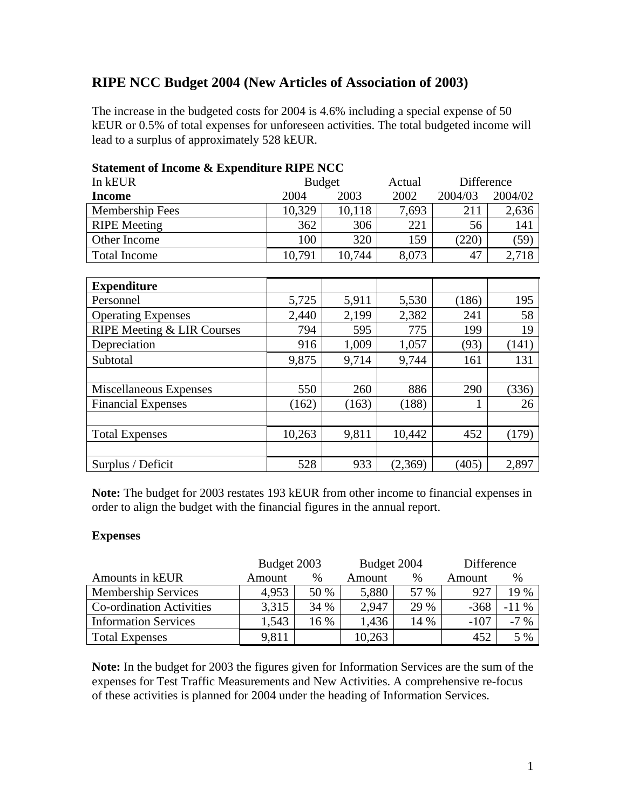## **RIPE NCC Budget 2004 (New Articles of Association of 2003)**

The increase in the budgeted costs for 2004 is 4.6% including a special expense of 50 kEUR or 0.5% of total expenses for unforeseen activities. The total budgeted income will lead to a surplus of approximately 528 kEUR.

| $\alpha$ and $\alpha$ income $\alpha$ expenditure $\alpha$ in $\beta$ and $\beta$ |        |        |            |         |  |
|-----------------------------------------------------------------------------------|--------|--------|------------|---------|--|
| <b>Budget</b>                                                                     |        | Actual | Difference |         |  |
| 2004                                                                              | 2003   | 2002   | 2004/03    | 2004/02 |  |
| 10,329                                                                            | 10,118 | 7,693  | 211        | 2,636   |  |
| 362                                                                               | 306    | 221    | 56         | 141     |  |
| 100                                                                               | 320    | 159    | (220)      | (59     |  |
| 10,791                                                                            | 10,744 | 8,073  | 47         | 2,718   |  |
|                                                                                   |        |        |            |         |  |

## **Statement of Income & Expenditure RIPE NCC**

| <b>Expenditure</b>         |        |       |         |       |       |
|----------------------------|--------|-------|---------|-------|-------|
| Personnel                  | 5,725  | 5,911 | 5,530   | (186) | 195   |
| <b>Operating Expenses</b>  | 2,440  | 2,199 | 2,382   | 241   | 58    |
| RIPE Meeting & LIR Courses | 794    | 595   | 775     | 199   | 19    |
| Depreciation               | 916    | 1,009 | 1,057   | (93)  | (141) |
| Subtotal                   | 9,875  | 9,714 | 9,744   | 161   | 131   |
|                            |        |       |         |       |       |
| Miscellaneous Expenses     | 550    | 260   | 886     | 290   | (336) |
| <b>Financial Expenses</b>  | (162)  | (163) | (188)   |       | 26    |
|                            |        |       |         |       |       |
| <b>Total Expenses</b>      | 10,263 | 9,811 | 10,442  | 452   | (179) |
|                            |        |       |         |       |       |
| Surplus / Deficit          | 528    | 933   | (2,369) | (405) | 2,897 |

**Note:** The budget for 2003 restates 193 kEUR from other income to financial expenses in order to align the budget with the financial figures in the annual report.

## **Expenses**

|                                 | Budget 2003 |      | Budget 2004 |      | Difference |         |
|---------------------------------|-------------|------|-------------|------|------------|---------|
| Amounts in kEUR                 | Amount      | %    | Amount      | $\%$ | Amount     | %       |
| <b>Membership Services</b>      | 4,953       | 50 % | 5,880       | 57 % | 927        | 19 %    |
| <b>Co-ordination Activities</b> | 3,315       | 34 % | 2,947       | 29 % | $-368$     | $-11\%$ |
| <b>Information Services</b>     | 1,543       | 16 % | 1,436       | 14 % | $-107$     | $-7\%$  |
| <b>Total Expenses</b>           | 9,811       |      | 10,263      |      | 452        | 5 %     |

**Note:** In the budget for 2003 the figures given for Information Services are the sum of the expenses for Test Traffic Measurements and New Activities. A comprehensive re-focus of these activities is planned for 2004 under the heading of Information Services.